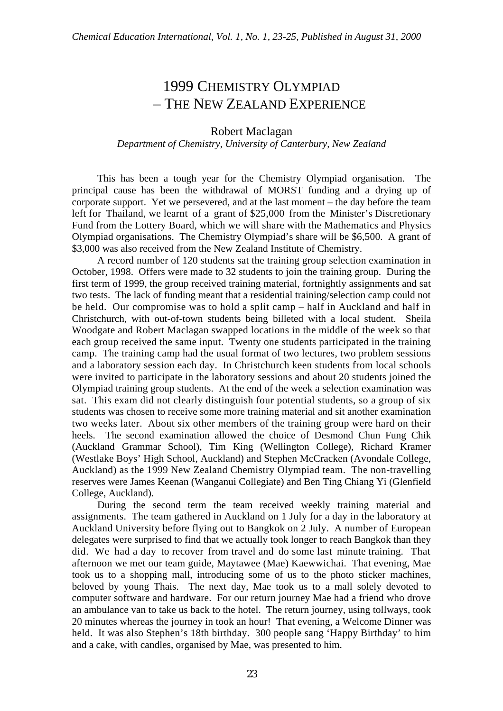## 1999 CHEMISTRY OLYMPIAD – THE NEW ZEALAND EXPERIENCE

## Robert Maclagan

## *Department of Chemistry, University of Canterbury, New Zealand*

This has been a tough year for the Chemistry Olympiad organisation. The principal cause has been the withdrawal of MORST funding and a drying up of corporate support. Yet we persevered, and at the last moment – the day before the team left for Thailand, we learnt of a grant of \$25,000 from the Minister's Discretionary Fund from the Lottery Board, which we will share with the Mathematics and Physics Olympiad organisations. The Chemistry Olympiad's share will be \$6,500. A grant of \$3,000 was also received from the New Zealand Institute of Chemistry.

A record number of 120 students sat the training group selection examination in October, 1998. Offers were made to 32 students to join the training group. During the first term of 1999, the group received training material, fortnightly assignments and sat two tests. The lack of funding meant that a residential training/selection camp could not be held. Our compromise was to hold a split camp – half in Auckland and half in Christchurch, with out-of-town students being billeted with a local student. Sheila Woodgate and Robert Maclagan swapped locations in the middle of the week so that each group received the same input. Twenty one students participated in the training camp. The training camp had the usual format of two lectures, two problem sessions and a laboratory session each day. In Christchurch keen students from local schools were invited to participate in the laboratory sessions and about 20 students joined the Olympiad training group students. At the end of the week a selection examination was sat. This exam did not clearly distinguish four potential students, so a group of six students was chosen to receive some more training material and sit another examination two weeks later. About six other members of the training group were hard on their heels. The second examination allowed the choice of Desmond Chun Fung Chik (Auckland Grammar School), Tim King (Wellington College), Richard Kramer (Westlake Boys' High School, Auckland) and Stephen McCracken (Avondale College, Auckland) as the 1999 New Zealand Chemistry Olympiad team. The non-travelling reserves were James Keenan (Wanganui Collegiate) and Ben Ting Chiang Yi (Glenfield College, Auckland).

During the second term the team received weekly training material and assignments. The team gathered in Auckland on 1 July for a day in the laboratory at Auckland University before flying out to Bangkok on 2 July. A number of European delegates were surprised to find that we actually took longer to reach Bangkok than they did. We had a day to recover from travel and do some last minute training. That afternoon we met our team guide, Maytawee (Mae) Kaewwichai. That evening, Mae took us to a shopping mall, introducing some of us to the photo sticker machines, beloved by young Thais. The next day, Mae took us to a mall solely devoted to computer software and hardware. For our return journey Mae had a friend who drove an ambulance van to take us back to the hotel. The return journey, using tollways, took 20 minutes whereas the journey in took an hour! That evening, a Welcome Dinner was held. It was also Stephen's 18th birthday. 300 people sang 'Happy Birthday' to him and a cake, with candles, organised by Mae, was presented to him.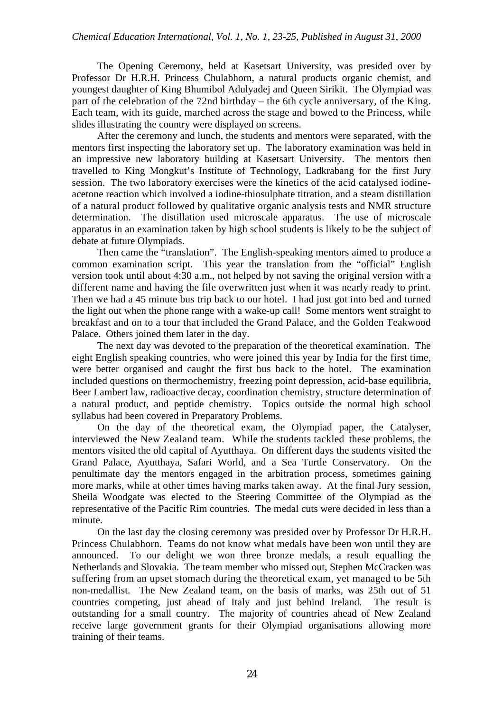The Opening Ceremony, held at Kasetsart University, was presided over by Professor Dr H.R.H. Princess Chulabhorn, a natural products organic chemist, and youngest daughter of King Bhumibol Adulyadej and Queen Sirikit. The Olympiad was part of the celebration of the 72nd birthday – the 6th cycle anniversary, of the King. Each team, with its guide, marched across the stage and bowed to the Princess, while slides illustrating the country were displayed on screens.

After the ceremony and lunch, the students and mentors were separated, with the mentors first inspecting the laboratory set up. The laboratory examination was held in an impressive new laboratory building at Kasetsart University. The mentors then travelled to King Mongkut's Institute of Technology, Ladkrabang for the first Jury session. The two laboratory exercises were the kinetics of the acid catalysed iodineacetone reaction which involved a iodine-thiosulphate titration, and a steam distillation of a natural product followed by qualitative organic analysis tests and NMR structure determination. The distillation used microscale apparatus. The use of microscale apparatus in an examination taken by high school students is likely to be the subject of debate at future Olympiads.

Then came the "translation". The English-speaking mentors aimed to produce a common examination script. This year the translation from the "official" English version took until about 4:30 a.m., not helped by not saving the original version with a different name and having the file overwritten just when it was nearly ready to print. Then we had a 45 minute bus trip back to our hotel. I had just got into bed and turned the light out when the phone range with a wake-up call! Some mentors went straight to breakfast and on to a tour that included the Grand Palace, and the Golden Teakwood Palace. Others joined them later in the day.

The next day was devoted to the preparation of the theoretical examination. The eight English speaking countries, who were joined this year by India for the first time, were better organised and caught the first bus back to the hotel. The examination included questions on thermochemistry, freezing point depression, acid-base equilibria, Beer Lambert law, radioactive decay, coordination chemistry, structure determination of a natural product, and peptide chemistry. Topics outside the normal high school syllabus had been covered in Preparatory Problems.

On the day of the theoretical exam, the Olympiad paper, the Catalyser, interviewed the New Zealand team. While the students tackled these problems, the mentors visited the old capital of Ayutthaya. On different days the students visited the Grand Palace, Ayutthaya, Safari World, and a Sea Turtle Conservatory. On the penultimate day the mentors engaged in the arbitration process, sometimes gaining more marks, while at other times having marks taken away. At the final Jury session, Sheila Woodgate was elected to the Steering Committee of the Olympiad as the representative of the Pacific Rim countries. The medal cuts were decided in less than a minute.

On the last day the closing ceremony was presided over by Professor Dr H.R.H. Princess Chulabhorn. Teams do not know what medals have been won until they are announced. To our delight we won three bronze medals, a result equalling the Netherlands and Slovakia. The team member who missed out, Stephen McCracken was suffering from an upset stomach during the theoretical exam, yet managed to be 5th non-medallist. The New Zealand team, on the basis of marks, was 25th out of 51 countries competing, just ahead of Italy and just behind Ireland. The result is outstanding for a small country. The majority of countries ahead of New Zealand receive large government grants for their Olympiad organisations allowing more training of their teams.